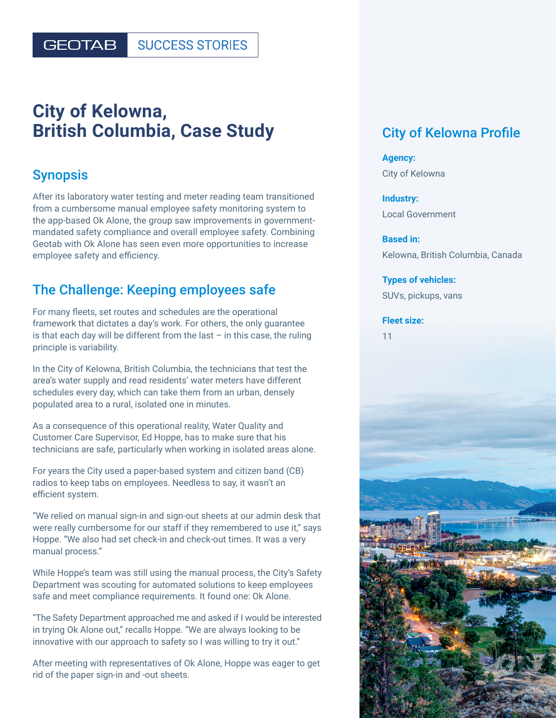#### **GEOTAB SUCCESS STORIES**

# **City of Kelowna, British Columbia, Case Study**

#### Synopsis

After its laboratory water testing and meter reading team transitioned from a cumbersome manual employee safety monitoring system to the app-based Ok Alone, the group saw improvements in governmentmandated safety compliance and overall employee safety. Combining Geotab with Ok Alone has seen even more opportunities to increase employee safety and efficiency.

### The Challenge: Keeping employees safe

For many fleets, set routes and schedules are the operational framework that dictates a day's work. For others, the only guarantee is that each day will be different from the last  $-$  in this case, the ruling principle is variability.

In the City of Kelowna, British Columbia, the technicians that test the area's water supply and read residents' water meters have different schedules every day, which can take them from an urban, densely populated area to a rural, isolated one in minutes.

As a consequence of this operational reality, Water Quality and Customer Care Supervisor, Ed Hoppe, has to make sure that his technicians are safe, particularly when working in isolated areas alone.

For years the City used a paper-based system and citizen band (CB) radios to keep tabs on employees. Needless to say, it wasn't an efficient system.

"We relied on manual sign-in and sign-out sheets at our admin desk that were really cumbersome for our staff if they remembered to use it," says Hoppe. "We also had set check-in and check-out times. It was a very manual process."

While Hoppe's team was still using the manual process, the City's Safety Department was scouting for automated solutions to keep employees safe and meet compliance requirements. It found one: Ok Alone.

"The Safety Department approached me and asked if I would be interested in trying Ok Alone out," recalls Hoppe. "We are always looking to be innovative with our approach to safety so I was willing to try it out."

After meeting with representatives of Ok Alone, Hoppe was eager to get rid of the paper sign-in and -out sheets.

## City of Kelowna Profile

**Agency:** City of Kelowna

**Industry:**  Local Government

**Based in:**  Kelowna, British Columbia, Canada

**Types of vehicles:** SUVs, pickups, vans

#### **Fleet size:**

11

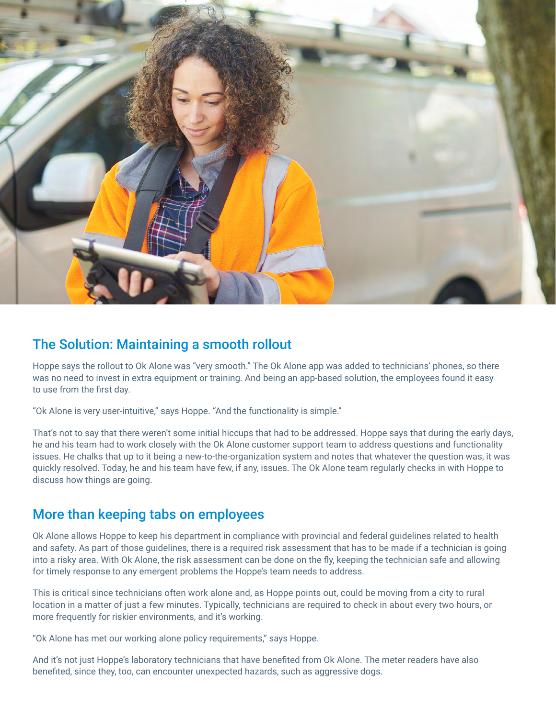

#### The Solution: Maintaining a smooth rollout

Hoppe says the rollout to Ok Alone was "very smooth." The Ok Alone app was added to technicians' phones, so there was no need to invest in extra equipment or training. And being an app-based solution, the employees found it easy to use from the first day.

"Ok Alone is very user-intuitive," says Hoppe. "And the functionality is simple."

That's not to say that there weren't some initial hiccups that had to be addressed. Hoppe says that during the early days, he and his team had to work closely with the Ok Alone customer support team to address questions and functionality issues. He chalks that up to it being a new-to-the-organization system and notes that whatever the question was, it was quickly resolved. Today, he and his team have few, if any, issues. The Ok Alone team regularly checks in with Hoppe to discuss how things are going.

### More than keeping tabs on employees

Ok Alone allows Hoppe to keep his department in compliance with provincial and federal guidelines related to health and safety. As part of those guidelines, there is a required risk assessment that has to be made if a technician is going into a risky area. With Ok Alone, the risk assessment can be done on the fly, keeping the technician safe and allowing for timely response to any emergent problems the Hoppe's team needs to address.

This is critical since technicians often work alone and, as Hoppe points out, could be moving from a city to rural location in a matter of just a few minutes. Typically, technicians are required to check in about every two hours, or more frequently for riskier environments, and it's working.

"Ok Alone has met our working alone policy requirements," says Hoppe.

And it's not just Hoppe's laboratory technicians that have benefited from Ok Alone. The meter readers have also benefited, since they, too, can encounter unexpected hazards, such as aggressive dogs.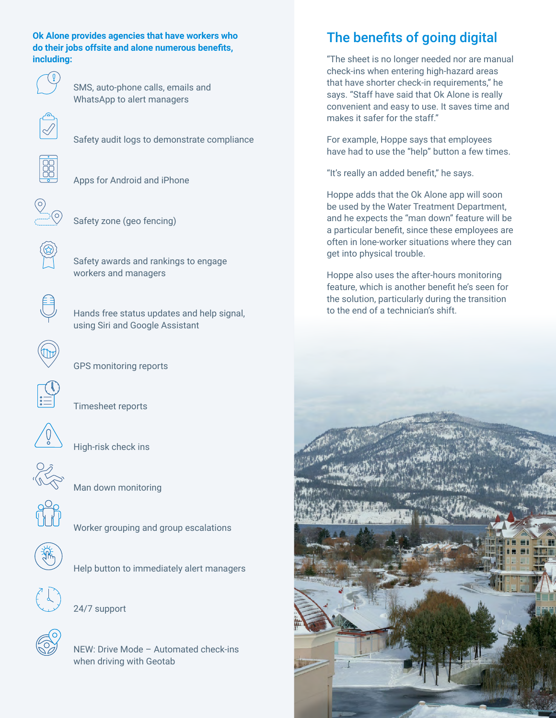**Ok Alone provides agencies that have workers who do their jobs offsite and alone numerous benefits, including:**



 SMS, auto-phone calls, emails and WhatsApp to alert managers



Safety audit logs to demonstrate compliance



Apps for Android and iPhone



Safety zone (geo fencing)



 Safety awards and rankings to engage workers and managers



 Hands free status updates and help signal, using Siri and Google Assistant



GPS monitoring reports



Timesheet reports



High-risk check ins



Man down monitoring



Worker grouping and group escalations



Help button to immediately alert managers



24/7 support

 NEW: Drive Mode – Automated check-ins when driving with Geotab

## The benefits of going digital

"The sheet is no longer needed nor are manual check-ins when entering high-hazard areas that have shorter check-in requirements," he says. "Staff have said that Ok Alone is really convenient and easy to use. It saves time and makes it safer for the staff."

For example, Hoppe says that employees have had to use the "help" button a few times.

"It's really an added benefit," he says.

Hoppe adds that the Ok Alone app will soon be used by the Water Treatment Department, and he expects the "man down" feature will be a particular benefit, since these employees are often in lone-worker situations where they can get into physical trouble.

Hoppe also uses the after-hours monitoring feature, which is another benefit he's seen for the solution, particularly during the transition to the end of a technician's shift.